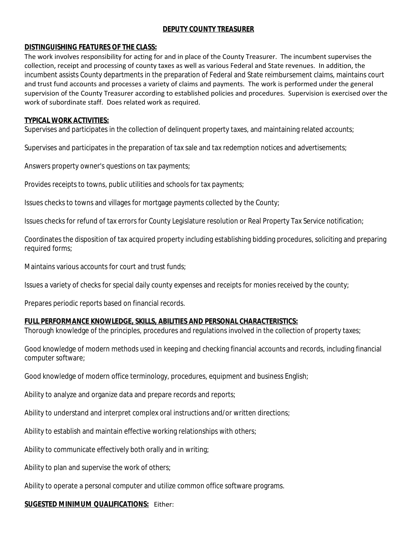# **DEPUTY COUNTY TREASURER**

# **DISTINGUISHING FEATURES OF THE CLASS:**

The work involves responsibility for acting for and in place of the County Treasurer. The incumbent supervises the collection, receipt and processing of county taxes as well as various Federal and State revenues. In addition, the incumbent assists County departments in the preparation of Federal and State reimbursement claims, maintains court and trust fund accounts and processes a variety of claims and payments. The work is performed under the general supervision of the County Treasurer according to established policies and procedures. Supervision is exercised over the work of subordinate staff. Does related work as required.

### **TYPICAL WORK ACTIVITIES:**

Supervises and participates in the collection of delinquent property taxes, and maintaining related accounts;

Supervises and participates in the preparation of tax sale and tax redemption notices and advertisements;

Answers property owner's questions on tax payments;

Provides receipts to towns, public utilities and schools for tax payments;

Issues checks to towns and villages for mortgage payments collected by the County;

Issues checks for refund of tax errors for County Legislature resolution or Real Property Tax Service notification;

Coordinates the disposition of tax acquired property including establishing bidding procedures, soliciting and preparing required forms;

Maintains various accounts for court and trust funds;

Issues a variety of checks for special daily county expenses and receipts for monies received by the county;

Prepares periodic reports based on financial records.

# **FULL PERFORMANCE KNOWLEDGE, SKILLS, ABILITIES AND PERSONAL CHARACTERISTICS:**

Thorough knowledge of the principles, procedures and regulations involved in the collection of property taxes;

Good knowledge of modern methods used in keeping and checking financial accounts and records, including financial computer software;

Good knowledge of modern office terminology, procedures, equipment and business English;

Ability to analyze and organize data and prepare records and reports;

Ability to understand and interpret complex oral instructions and/or written directions;

Ability to establish and maintain effective working relationships with others;

Ability to communicate effectively both orally and in writing;

Ability to plan and supervise the work of others;

Ability to operate a personal computer and utilize common office software programs.

#### **SUGESTED MINIMUM QUALIFICATIONS:** Either: